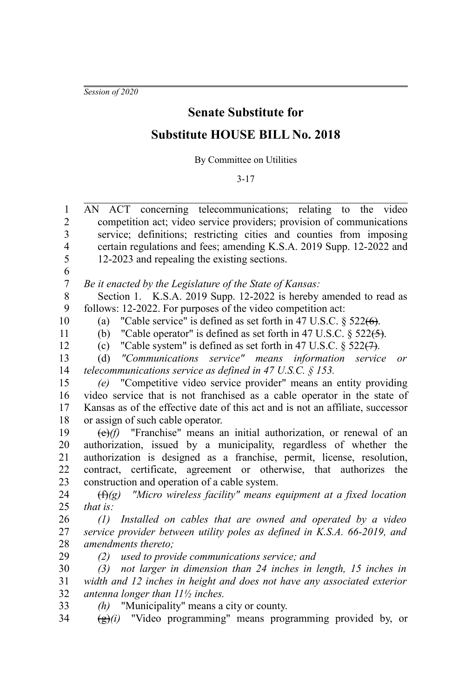*Session of 2020*

## **Senate Substitute for**

## **Substitute HOUSE BILL No. 2018**

By Committee on Utilities

3-17

AN ACT concerning telecommunications; relating to the video competition act; video service providers; provision of communications service; definitions; restricting cities and counties from imposing certain regulations and fees; amending K.S.A. 2019 Supp. 12-2022 and 12-2023 and repealing the existing sections. 1  $\mathcal{D}$ 3 4 5

6

*Be it enacted by the Legislature of the State of Kansas:* 7

Section 1. K.S.A. 2019 Supp. 12-2022 is hereby amended to read as follows: 12-2022. For purposes of the video competition act: 8 9

10

(a) "Cable service" is defined as set forth in 47 U.S.C.  $\S$  522( $\Theta$ ).

11 12 (b) "Cable operator" is defined as set forth in 47 U.S.C.  $\S$  522( $\rightarrow$ ).

(c) "Cable system" is defined as set forth in 47 U.S.C.  $\S$  522(7).

(d) *"Communications service" means information service or telecommunications service as defined in 47 U.S.C. § 153.* 13 14

*(e)* "Competitive video service provider" means an entity providing video service that is not franchised as a cable operator in the state of Kansas as of the effective date of this act and is not an affiliate, successor or assign of such cable operator. 15 16 17 18

(e)*(f)* "Franchise" means an initial authorization, or renewal of an authorization, issued by a municipality, regardless of whether the authorization is designed as a franchise, permit, license, resolution, contract, certificate, agreement or otherwise, that authorizes the construction and operation of a cable system. 19 20 21 22 23

(f)*(g) "Micro wireless facility" means equipment at a fixed location that is:* 24 25

*(1) Installed on cables that are owned and operated by a video service provider between utility poles as defined in K.S.A. 66-2019, and amendments thereto;* 26 27 28 29

*(2) used to provide communications service; and*

*(3) not larger in dimension than 24 inches in length, 15 inches in width and 12 inches in height and does not have any associated exterior antenna longer than 11½ inches.* 30 31 32

*(h)* "Municipality" means a city or county. 33

(g)*(i)* "Video programming" means programming provided by, or 34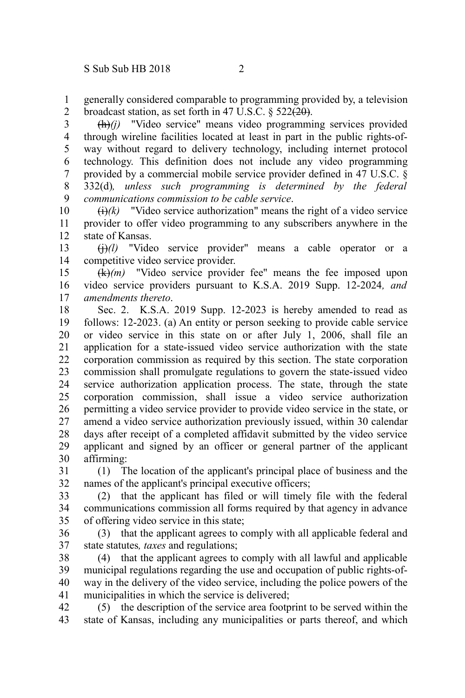generally considered comparable to programming provided by, a television broadcast station, as set forth in 47 U.S.C. § 522 $(20)$ . 1 2

(h)*(j)* "Video service" means video programming services provided through wireline facilities located at least in part in the public rights-ofway without regard to delivery technology, including internet protocol technology. This definition does not include any video programming provided by a commercial mobile service provider defined in 47 U.S.C. § 332(d)*, unless such programming is determined by the federal communications commission to be cable service*. 3 4 5 6 7 8 9

 $\Theta(k)$  "Video service authorization" means the right of a video service provider to offer video programming to any subscribers anywhere in the state of Kansas. 10 11 12

 $\left(\frac{1}{1}\right)(l)$  "Video service provider" means a cable operator or a competitive video service provider. 13 14

(k)*(m)* "Video service provider fee" means the fee imposed upon video service providers pursuant to K.S.A. 2019 Supp. 12-2024*, and amendments thereto*. 15 16 17

Sec. 2. K.S.A. 2019 Supp. 12-2023 is hereby amended to read as follows: 12-2023. (a) An entity or person seeking to provide cable service or video service in this state on or after July 1, 2006, shall file an application for a state-issued video service authorization with the state corporation commission as required by this section. The state corporation commission shall promulgate regulations to govern the state-issued video service authorization application process. The state, through the state corporation commission, shall issue a video service authorization permitting a video service provider to provide video service in the state, or amend a video service authorization previously issued, within 30 calendar days after receipt of a completed affidavit submitted by the video service applicant and signed by an officer or general partner of the applicant affirming: 18 19 20 21 22 23 24 25 26 27 28 29 30

(1) The location of the applicant's principal place of business and the names of the applicant's principal executive officers; 31 32

(2) that the applicant has filed or will timely file with the federal communications commission all forms required by that agency in advance of offering video service in this state; 33 34 35

(3) that the applicant agrees to comply with all applicable federal and state statutes*, taxes* and regulations; 36 37

(4) that the applicant agrees to comply with all lawful and applicable municipal regulations regarding the use and occupation of public rights-ofway in the delivery of the video service, including the police powers of the municipalities in which the service is delivered; 38 39 40 41

(5) the description of the service area footprint to be served within the state of Kansas, including any municipalities or parts thereof, and which 42 43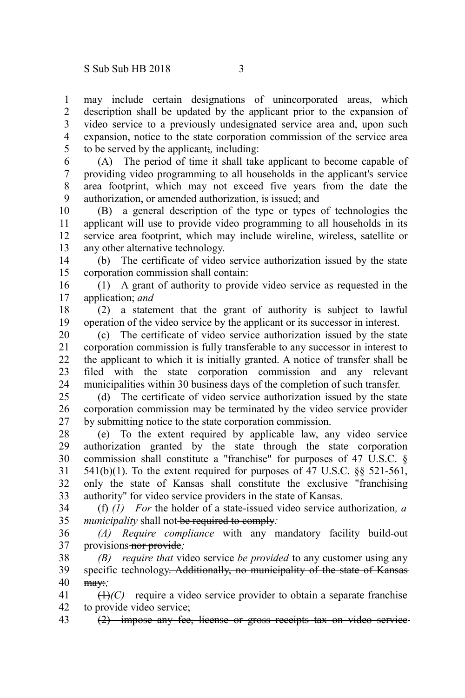may include certain designations of unincorporated areas, which description shall be updated by the applicant prior to the expansion of video service to a previously undesignated service area and, upon such expansion, notice to the state corporation commission of the service area to be served by the applicant;*,* including: 1 2 3 4 5

(A) The period of time it shall take applicant to become capable of providing video programming to all households in the applicant's service area footprint, which may not exceed five years from the date the authorization, or amended authorization, is issued; and 6 7 8 9

(B) a general description of the type or types of technologies the applicant will use to provide video programming to all households in its service area footprint, which may include wireline, wireless, satellite or any other alternative technology. 10 11 12 13

(b) The certificate of video service authorization issued by the state corporation commission shall contain: 14 15

(1) A grant of authority to provide video service as requested in the application; *and* 16 17

(2) a statement that the grant of authority is subject to lawful operation of the video service by the applicant or its successor in interest. 18 19

(c) The certificate of video service authorization issued by the state corporation commission is fully transferable to any successor in interest to the applicant to which it is initially granted. A notice of transfer shall be filed with the state corporation commission and any relevant municipalities within 30 business days of the completion of such transfer. 20 21 22 23 24

(d) The certificate of video service authorization issued by the state corporation commission may be terminated by the video service provider by submitting notice to the state corporation commission. 25 26 27

(e) To the extent required by applicable law, any video service authorization granted by the state through the state corporation commission shall constitute a "franchise" for purposes of 47 U.S.C. §  $541(b)(1)$ . To the extent required for purposes of 47 U.S.C.  $\&$  521-561, only the state of Kansas shall constitute the exclusive "franchising authority" for video service providers in the state of Kansas. 28 29 30 31 32 33

(f) *(1) For* the holder of a state-issued video service authorization*, a municipality* shall not be required to comply: 34 35

*(A) Require compliance* with any mandatory facility build-out provisions nor provide*;* 36 37

*(B) require that* video service *be provided* to any customer using any specific technology. Additionally, no municipality of the state of Kansas may:*;* 38 39 40

 $(1)$ <sup>(C)</sup> require a video service provider to obtain a separate franchise to provide video service; 41 42

(2) impose any fee, license or gross receipts tax on video service 43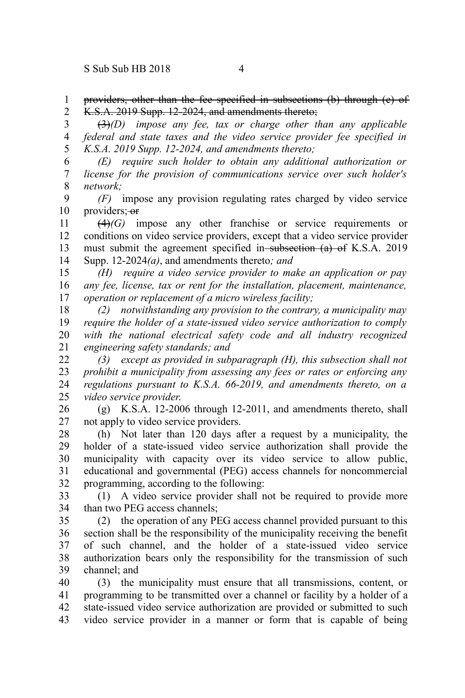providers, other than the fee specified in subsections (b) through (e) of K.S.A. 2019 Supp. 12-2024, and amendments thereto: 1 2

(3)*(D) impose any fee, tax or charge other than any applicable federal and state taxes and the video service provider fee specified in K.S.A. 2019 Supp. 12-2024, and amendments thereto;* 3 4 5

*(E) require such holder to obtain any additional authorization or license for the provision of communications service over such holder's network;* 6 7 8

*(F)* impose any provision regulating rates charged by video service providers; or 9 10

(4)*(G)* impose any other franchise or service requirements or conditions on video service providers, except that a video service provider must submit the agreement specified in subsection (a) of K.S.A. 2019 Supp. 12-2024*(a)*, and amendments thereto*; and* 11 12 13 14

*(H) require a video service provider to make an application or pay any fee, license, tax or rent for the installation, placement, maintenance, operation or replacement of a micro wireless facility;* 15 16 17

*(2) notwithstanding any provision to the contrary, a municipality may require the holder of a state-issued video service authorization to comply with the national electrical safety code and all industry recognized engineering safety standards; and* 18 19 20 21

*(3) except as provided in subparagraph (H), this subsection shall not prohibit a municipality from assessing any fees or rates or enforcing any regulations pursuant to K.S.A. 66-2019, and amendments thereto, on a video service provider*. 22 23 24 25

(g) K.S.A. 12-2006 through 12-2011, and amendments thereto, shall not apply to video service providers. 26 27

(h) Not later than 120 days after a request by a municipality, the holder of a state-issued video service authorization shall provide the municipality with capacity over its video service to allow public, educational and governmental (PEG) access channels for noncommercial programming, according to the following: 28 29 30 31 32

(1) A video service provider shall not be required to provide more than two PEG access channels; 33 34

(2) the operation of any PEG access channel provided pursuant to this section shall be the responsibility of the municipality receiving the benefit of such channel, and the holder of a state-issued video service authorization bears only the responsibility for the transmission of such channel; and 35 36 37 38 39

(3) the municipality must ensure that all transmissions, content, or programming to be transmitted over a channel or facility by a holder of a state-issued video service authorization are provided or submitted to such video service provider in a manner or form that is capable of being 40 41 42 43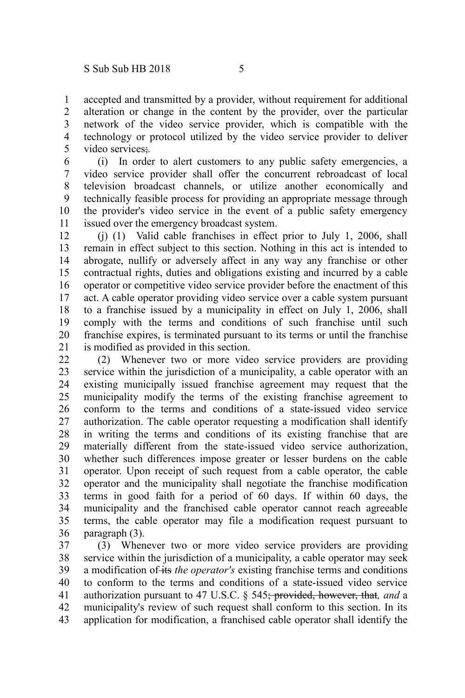accepted and transmitted by a provider, without requirement for additional alteration or change in the content by the provider, over the particular network of the video service provider, which is compatible with the technology or protocol utilized by the video service provider to deliver video services;*.* 1 2 3 4 5

(i) In order to alert customers to any public safety emergencies, a video service provider shall offer the concurrent rebroadcast of local television broadcast channels, or utilize another economically and technically feasible process for providing an appropriate message through the provider's video service in the event of a public safety emergency issued over the emergency broadcast system. 6 7 8 9 10 11

(j) (1) Valid cable franchises in effect prior to July 1, 2006, shall remain in effect subject to this section. Nothing in this act is intended to abrogate, nullify or adversely affect in any way any franchise or other contractual rights, duties and obligations existing and incurred by a cable operator or competitive video service provider before the enactment of this act. A cable operator providing video service over a cable system pursuant to a franchise issued by a municipality in effect on July 1, 2006, shall comply with the terms and conditions of such franchise until such franchise expires, is terminated pursuant to its terms or until the franchise is modified as provided in this section. 12 13 14 15 16 17 18 19 20 21

(2) Whenever two or more video service providers are providing service within the jurisdiction of a municipality, a cable operator with an existing municipally issued franchise agreement may request that the municipality modify the terms of the existing franchise agreement to conform to the terms and conditions of a state-issued video service authorization. The cable operator requesting a modification shall identify in writing the terms and conditions of its existing franchise that are materially different from the state-issued video service authorization, whether such differences impose greater or lesser burdens on the cable operator. Upon receipt of such request from a cable operator, the cable operator and the municipality shall negotiate the franchise modification terms in good faith for a period of 60 days. If within 60 days, the municipality and the franchised cable operator cannot reach agreeable terms, the cable operator may file a modification request pursuant to paragraph (3). 22 23 24 25 26 27 28 29 30 31 32 33 34 35 36

(3) Whenever two or more video service providers are providing service within the jurisdiction of a municipality, a cable operator may seek a modification of its *the operator's* existing franchise terms and conditions to conform to the terms and conditions of a state-issued video service authorization pursuant to 47 U.S.C. § 545; provided, however, that*, and* a municipality's review of such request shall conform to this section. In its application for modification, a franchised cable operator shall identify the 37 38 39 40 41 42 43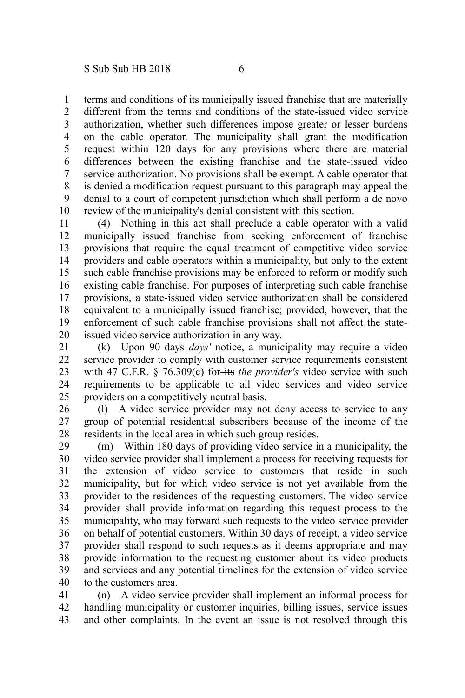terms and conditions of its municipally issued franchise that are materially different from the terms and conditions of the state-issued video service authorization, whether such differences impose greater or lesser burdens on the cable operator. The municipality shall grant the modification request within 120 days for any provisions where there are material differences between the existing franchise and the state-issued video service authorization. No provisions shall be exempt. A cable operator that is denied a modification request pursuant to this paragraph may appeal the denial to a court of competent jurisdiction which shall perform a de novo review of the municipality's denial consistent with this section. 1 2 3 4 5 6 7 8 9 10

(4) Nothing in this act shall preclude a cable operator with a valid municipally issued franchise from seeking enforcement of franchise provisions that require the equal treatment of competitive video service providers and cable operators within a municipality, but only to the extent such cable franchise provisions may be enforced to reform or modify such existing cable franchise. For purposes of interpreting such cable franchise provisions, a state-issued video service authorization shall be considered equivalent to a municipally issued franchise; provided, however, that the enforcement of such cable franchise provisions shall not affect the stateissued video service authorization in any way. 11 12 13 14 15 16 17 18 19 20

(k) Upon 90 days *days'* notice, a municipality may require a video service provider to comply with customer service requirements consistent with 47 C.F.R. § 76.309(c) for-its *the provider's* video service with such requirements to be applicable to all video services and video service providers on a competitively neutral basis. 21 22 23 24 25

(l) A video service provider may not deny access to service to any group of potential residential subscribers because of the income of the residents in the local area in which such group resides. 26 27 28

(m) Within 180 days of providing video service in a municipality, the video service provider shall implement a process for receiving requests for the extension of video service to customers that reside in such municipality, but for which video service is not yet available from the provider to the residences of the requesting customers. The video service provider shall provide information regarding this request process to the municipality, who may forward such requests to the video service provider on behalf of potential customers. Within 30 days of receipt, a video service provider shall respond to such requests as it deems appropriate and may provide information to the requesting customer about its video products and services and any potential timelines for the extension of video service to the customers area. 29 30 31 32 33 34 35 36 37 38 39 40

(n) A video service provider shall implement an informal process for handling municipality or customer inquiries, billing issues, service issues and other complaints. In the event an issue is not resolved through this 41 42 43